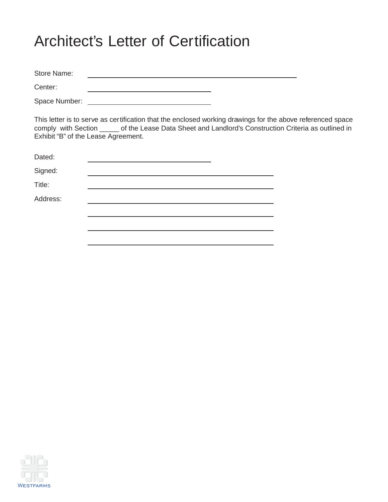# Architect's Letter of Certification

Store Name: <u> 1989 - Johann Stoff, Amerikaansk politiker (</u> Center: <u> 1989 - Johann Barn, mars ann an t-Amhain Aonaich an t-Aonaich an t-Aonaich ann an t-Aonaich ann an t-Aonaich</u>

Space Number:

This letter is to serve as certification that the enclosed working drawings for the above referenced space comply with Section \_\_\_\_\_ of the Lease Data Sheet and Landlord's Construction Criteria as outlined in Exhibit "B" of the Lease Agreement.

| Dated:   |  |
|----------|--|
| Signed:  |  |
| Title:   |  |
| Address: |  |
|          |  |
|          |  |
|          |  |

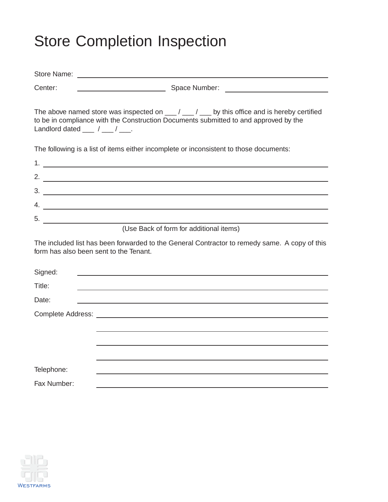# Store Completion Inspection

| Center:                                         |                                                                                                                                                                                                                                                                                                                                                                                                                  |
|-------------------------------------------------|------------------------------------------------------------------------------------------------------------------------------------------------------------------------------------------------------------------------------------------------------------------------------------------------------------------------------------------------------------------------------------------------------------------|
| Landlord dated $\frac{1}{\sqrt{1-\frac{1}{2}}}$ | The above named store was inspected on $\underline{\hspace{1cm}}$ / $\underline{\hspace{1cm}}$ / $\underline{\hspace{1cm}}$ by this office and is hereby certified<br>to be in compliance with the Construction Documents submitted to and approved by the                                                                                                                                                       |
|                                                 | The following is a list of items either incomplete or inconsistent to those documents:                                                                                                                                                                                                                                                                                                                           |
|                                                 |                                                                                                                                                                                                                                                                                                                                                                                                                  |
|                                                 | 2. $\frac{1}{2}$ $\frac{1}{2}$ $\frac{1}{2}$ $\frac{1}{2}$ $\frac{1}{2}$ $\frac{1}{2}$ $\frac{1}{2}$ $\frac{1}{2}$ $\frac{1}{2}$ $\frac{1}{2}$ $\frac{1}{2}$ $\frac{1}{2}$ $\frac{1}{2}$ $\frac{1}{2}$ $\frac{1}{2}$ $\frac{1}{2}$ $\frac{1}{2}$ $\frac{1}{2}$ $\frac{1}{2}$ $\frac{1}{2}$ $\frac{1}{2}$ $\frac{1}{2}$                                                                                           |
|                                                 |                                                                                                                                                                                                                                                                                                                                                                                                                  |
|                                                 | 4. $\frac{1}{\sqrt{1-\frac{1}{2}}\sqrt{1-\frac{1}{2}}\sqrt{1-\frac{1}{2}}\sqrt{1-\frac{1}{2}}\sqrt{1-\frac{1}{2}}\sqrt{1-\frac{1}{2}}\sqrt{1-\frac{1}{2}}\sqrt{1-\frac{1}{2}}\sqrt{1-\frac{1}{2}}\sqrt{1-\frac{1}{2}}\sqrt{1-\frac{1}{2}}\sqrt{1-\frac{1}{2}}\sqrt{1-\frac{1}{2}}\sqrt{1-\frac{1}{2}}\sqrt{1-\frac{1}{2}}\sqrt{1-\frac{1}{2}}\sqrt{1-\frac{1}{2}}\sqrt{1-\frac{1}{2}}\sqrt{1-\frac{1}{2}}\sqrt{$ |
|                                                 | $5.$ $\qquad \qquad$                                                                                                                                                                                                                                                                                                                                                                                             |
|                                                 | (Use Back of form for additional items)                                                                                                                                                                                                                                                                                                                                                                          |
|                                                 | The included list has been forwarded to the General Contractor to remedy same. A copy of this<br>form has also been sent to the Tenant.                                                                                                                                                                                                                                                                          |
| Signed:                                         | <u> 1989 - Johann Harry Barn, mars and deutscher Schwarzer († 1918)</u>                                                                                                                                                                                                                                                                                                                                          |
| Title:                                          |                                                                                                                                                                                                                                                                                                                                                                                                                  |
| Date:                                           | and the control of the control of the control of the control of the control of the control of the control of the                                                                                                                                                                                                                                                                                                 |
|                                                 |                                                                                                                                                                                                                                                                                                                                                                                                                  |
|                                                 |                                                                                                                                                                                                                                                                                                                                                                                                                  |
|                                                 |                                                                                                                                                                                                                                                                                                                                                                                                                  |
|                                                 |                                                                                                                                                                                                                                                                                                                                                                                                                  |
| Telephone:                                      |                                                                                                                                                                                                                                                                                                                                                                                                                  |
| Fax Number:                                     |                                                                                                                                                                                                                                                                                                                                                                                                                  |

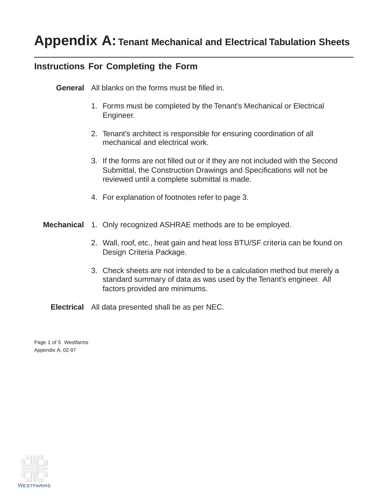### **Instructions For Completing the Form**

**General** All blanks on the forms must be filled in.

- 1. Forms must be completed by the Tenant's Mechanical or Electrical Engineer.
- 2. Tenant's architect is responsible for ensuring coordination of all mechanical and electrical work.
- 3. If the forms are not filled out or if they are not included with the Second Submittal, the Construction Drawings and Specifications will not be reviewed until a complete submittal is made.
- 4. For explanation of footnotes refer to page 3.
- **Mechanical** 1. Only recognized ASHRAE methods are to be employed.
	- 2. Wall, roof, etc., heat gain and heat loss BTU/SF criteria can be found on Design Criteria Package.
	- 3. Check sheets are not intended to be a calculation method but merely a standard summary of data as was used by the Tenant's engineer. All factors provided are minimums.

**Electrical** All data presented shall be as per NEC.

Page 1 of 5 Westfarms Appendix A; 02-97

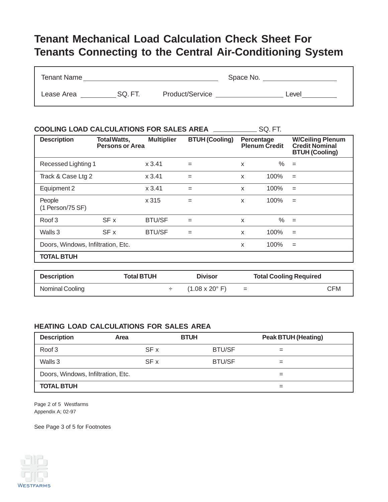## **Tenant Mechanical Load Calculation Check Sheet For Tenants Connecting to the Central Air-Conditioning System**

| <b>Tenant Name</b> |         |                 | Space No. |       |
|--------------------|---------|-----------------|-----------|-------|
| Lease Area         | SQ. FT. | Product/Service |           | ∟evel |

| <b>COOLING LOAD CALCULATIONS FOR SALES AREA</b> |                                               |                   |                       |   | SQ. FT.                            |                                                                           |
|-------------------------------------------------|-----------------------------------------------|-------------------|-----------------------|---|------------------------------------|---------------------------------------------------------------------------|
| <b>Description</b>                              | <b>Total Watts,</b><br><b>Persons or Area</b> | <b>Multiplier</b> | <b>BTUH (Cooling)</b> |   | Percentage<br><b>Plenum Credit</b> | <b>W/Ceiling Plenum</b><br><b>Credit Nominal</b><br><b>BTUH (Cooling)</b> |
| Recessed Lighting 1                             |                                               | x3.41             | $=$                   | X | $\%$                               | $=$                                                                       |
| Track & Case Ltg 2                              |                                               | x3.41             | $=$                   | X | 100%                               | $=$                                                                       |
| Equipment 2                                     |                                               | x3.41             | $=$                   | X | 100%                               | $=$                                                                       |
| People<br>(1 Person/75 SF)                      |                                               | x 315             | $=$                   | X | 100%                               | $=$                                                                       |
| Roof 3                                          | SF x                                          | <b>BTU/SF</b>     | $=$                   | X | $\%$                               | $=$                                                                       |
| Walls 3                                         | SF x                                          | <b>BTU/SF</b>     | $=$                   | X | 100%                               | $=$                                                                       |
| Doors, Windows, Infiltration, Etc.              |                                               |                   |                       | X | 100%                               | $=$                                                                       |
| <b>TOTAL BTUH</b>                               |                                               |                   |                       |   |                                    |                                                                           |

| <b>Description</b> | <b>Total BTUH</b> | <b>Divisor</b>                       |          | <b>Total Cooling Required</b> |
|--------------------|-------------------|--------------------------------------|----------|-------------------------------|
| Nominal Cooling    |                   | $(1.08 \times 20^{\circ} \text{ F})$ | $\equiv$ | CFM                           |

#### **HEATING LOAD CALCULATIONS FOR SALES AREA**

| <b>Description</b>                 | Area | <b>BTUH</b>   | <b>Peak BTUH (Heating)</b> |
|------------------------------------|------|---------------|----------------------------|
| Roof 3                             | SF x | <b>BTU/SF</b> | $=$                        |
| Walls 3                            | SF x | <b>BTU/SF</b> | =                          |
| Doors, Windows, Infiltration, Etc. |      |               | $=$                        |
| <b>TOTAL BTUH</b>                  |      |               |                            |

Page 2 of 5 Westfarms Appendix A; 02-97

See Page 3 of 5 for Footnotes

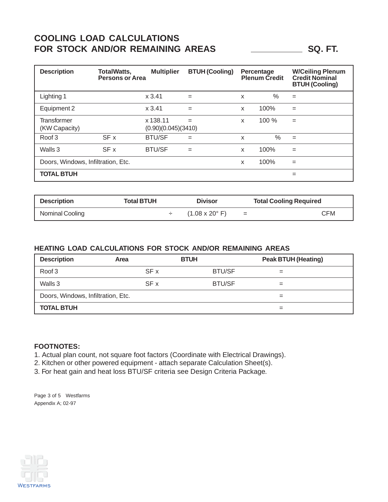### **COOLING LOAD CALCULATIONS** FOR STOCK AND/OR REMAINING AREAS **SQ. FT.** SQ. FT.

| <b>Description</b>                 | <b>TotalWatts,</b><br><b>Persons or Area</b> | <b>Multiplier</b>               | <b>BTUH (Cooling)</b> |   | Percentage<br><b>Plenum Credit</b> | <b>W/Ceiling Plenum</b><br><b>Credit Nominal</b><br><b>BTUH (Cooling)</b> |
|------------------------------------|----------------------------------------------|---------------------------------|-----------------------|---|------------------------------------|---------------------------------------------------------------------------|
| Lighting 1                         |                                              | x3.41                           | $=$                   | X | %                                  | $=$                                                                       |
| Equipment 2                        |                                              | x3.41                           | $=$                   | X | 100%                               | $=$                                                                       |
| Transformer<br>(KW Capacity)       |                                              | x 138.11<br>(0.90)(0.045)(3410) | $=$                   | X | 100 %                              | $=$                                                                       |
| Roof 3                             | SF x                                         | <b>BTU/SF</b>                   | $=$                   | X | $\%$                               | $=$                                                                       |
| Walls 3                            | SF x                                         | <b>BTU/SF</b>                   | $=$                   | X | 100%                               | $=$                                                                       |
| Doors, Windows, Infiltration, Etc. |                                              |                                 |                       | X | 100%                               | $=$                                                                       |
| <b>TOTAL BTUH</b>                  |                                              |                                 |                       |   |                                    | $=$                                                                       |

| <b>Description</b> | Total BTUH | Divisor                              |     | <b>Total Cooling Required</b> |
|--------------------|------------|--------------------------------------|-----|-------------------------------|
| Nominal Cooling    |            | $(1.08 \times 20^{\circ} \text{ F})$ | $=$ | ਼ਸ ਅ                          |

#### **HEATING LOAD CALCULATIONS FOR STOCK AND/OR REMAINING AREAS**

| <b>Description</b>                 | Area | <b>BTUH</b>   | <b>Peak BTUH (Heating)</b> |
|------------------------------------|------|---------------|----------------------------|
| Roof 3                             | SF x | <b>BTU/SF</b> | =                          |
| Walls 3                            | SF x | <b>BTU/SF</b> |                            |
| Doors, Windows, Infiltration, Etc. |      |               |                            |
| <b>TOTAL BTUH</b>                  |      |               |                            |

#### **FOOTNOTES:**

1. Actual plan count, not square foot factors (Coordinate with Electrical Drawings).

2. Kitchen or other powered equipment - attach separate Calculation Sheet(s).

3. For heat gain and heat loss BTU/SF criteria see Design Criteria Package.

Page 3 of 5 Westfarms Appendix A; 02-97

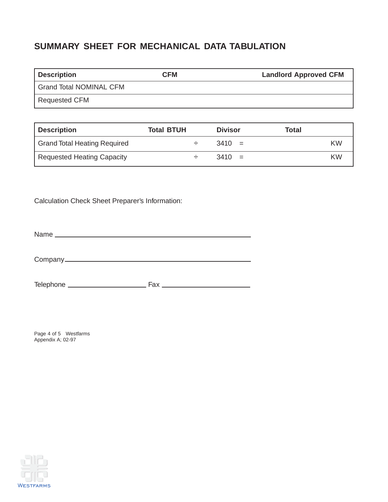## **SUMMARY SHEET FOR MECHANICAL DATA TABULATION**

| <b>Description</b>             | <b>CFM</b> | <b>Landlord Approved CFM</b> |
|--------------------------------|------------|------------------------------|
| <b>Grand Total NOMINAL CFM</b> |            |                              |
| <b>Requested CFM</b>           |            |                              |

| Description                         | <b>Total BTUH</b> | <b>Divisor</b> | Total |
|-------------------------------------|-------------------|----------------|-------|
| <b>Grand Total Heating Required</b> |                   | $3410 =$       | KW    |
| Requested Heating Capacity          |                   | $3410 =$       | KW    |

Calculation Check Sheet Preparer's Information:

Name

Company

Telephone Fax

Page 4 of 5 Westfarms Appendix A; 02-97

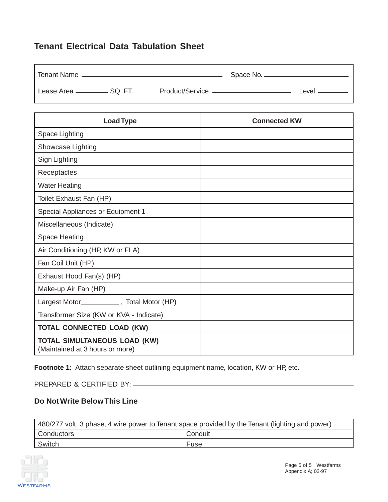### **Tenant Electrical Data Tabulation Sheet**

| <b>Tenant Name</b>               |                   | Space No. _ |       |
|----------------------------------|-------------------|-------------|-------|
| Lease Area _____________ SQ. FT. | Product/Service - |             | Level |

| <b>Load Type</b>                                                       | <b>Connected KW</b> |
|------------------------------------------------------------------------|---------------------|
| Space Lighting                                                         |                     |
| Showcase Lighting                                                      |                     |
| Sign Lighting                                                          |                     |
| Receptacles                                                            |                     |
| <b>Water Heating</b>                                                   |                     |
| Toilet Exhaust Fan (HP)                                                |                     |
| <b>Special Appliances or Equipment 1</b>                               |                     |
| Miscellaneous (Indicate)                                               |                     |
| <b>Space Heating</b>                                                   |                     |
| Air Conditioning (HP, KW or FLA)                                       |                     |
| Fan Coil Unit (HP)                                                     |                     |
| Exhaust Hood Fan(s) (HP)                                               |                     |
| Make-up Air Fan (HP)                                                   |                     |
| Largest Motor______________, Total Motor (HP)                          |                     |
| Transformer Size (KW or KVA - Indicate)                                |                     |
| <b>TOTAL CONNECTED LOAD (KW)</b>                                       |                     |
| <b>TOTAL SIMULTANEOUS LOAD (KW)</b><br>(Maintained at 3 hours or more) |                     |

Footnote 1: Attach separate sheet outlining equipment name, location, KW or HP, etc.

PREPARED & CERTIFIED BY:

#### **Do Not Write Below This Line**

| 480/277 volt, 3 phase, 4 wire power to Tenant space provided by the Tenant (lighting and power) |         |  |
|-------------------------------------------------------------------------------------------------|---------|--|
| Conductors                                                                                      | Conduit |  |
| Switch                                                                                          | Fuse    |  |

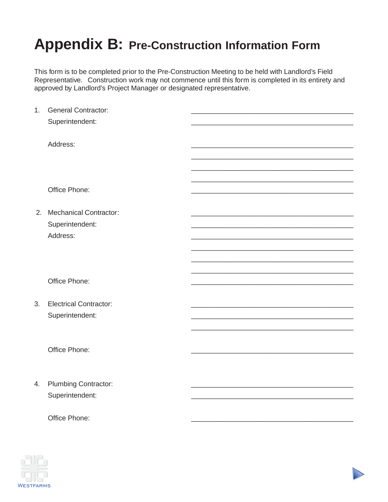# **Appendix B: Pre-Construction Information Form**

This form is to be completed prior to the Pre-Construction Meeting to be held with Landlord's Field Representative. Construction work may not commence until this form is completed in its entirety and approved by Landlord's Project Manager or designated representative.

| 1. | <b>General Contractor:</b>    |  |
|----|-------------------------------|--|
|    | Superintendent:               |  |
|    |                               |  |
|    | Address:                      |  |
|    |                               |  |
|    |                               |  |
|    |                               |  |
|    | Office Phone:                 |  |
|    |                               |  |
|    | 2. Mechanical Contractor:     |  |
|    | Superintendent:               |  |
|    | Address:                      |  |
|    |                               |  |
|    |                               |  |
|    |                               |  |
|    | Office Phone:                 |  |
|    |                               |  |
| 3. | <b>Electrical Contractor:</b> |  |
|    | Superintendent:               |  |
|    |                               |  |
|    | Office Phone:                 |  |
|    |                               |  |
|    |                               |  |
| 4. | <b>Plumbing Contractor:</b>   |  |
|    | Superintendent:               |  |
|    |                               |  |
|    | Office Phone:                 |  |
|    |                               |  |